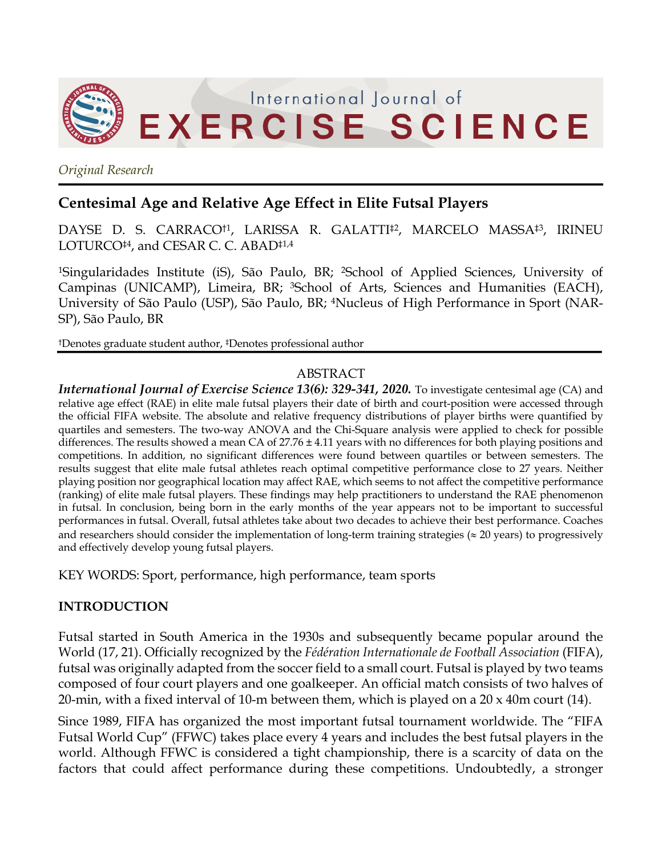

*Original Research*

# **Centesimal Age and Relative Age Effect in Elite Futsal Players**

DAYSE D. S. CARRACO†1, LARISSA R. GALATTI‡2, MARCELO MASSA‡3, IRINEU LOTURCO<sup>‡4</sup>, and CESAR C. C. ABAD<sup>‡1,4</sup>

<sup>1</sup>Singularidades Institute (iS), São Paulo, BR; <sup>2</sup>School of Applied Sciences, University of Campinas (UNICAMP), Limeira, BR; 3School of Arts, Sciences and Humanities (EACH), University of São Paulo (USP), São Paulo, BR; 4Nucleus of High Performance in Sport (NAR-SP), São Paulo, BR

†Denotes graduate student author, ‡Denotes professional author

### ABSTRACT

*International Journal of Exercise Science 13(6): 329-341, 2020.* To investigate centesimal age (CA) and relative age effect (RAE) in elite male futsal players their date of birth and court-position were accessed through the official FIFA website. The absolute and relative frequency distributions of player births were quantified by quartiles and semesters. The two-way ANOVA and the Chi-Square analysis were applied to check for possible differences. The results showed a mean CA of  $27.76 \pm 4.11$  years with no differences for both playing positions and competitions. In addition, no significant differences were found between quartiles or between semesters. The results suggest that elite male futsal athletes reach optimal competitive performance close to 27 years. Neither playing position nor geographical location may affect RAE, which seems to not affect the competitive performance (ranking) of elite male futsal players. These findings may help practitioners to understand the RAE phenomenon in futsal. In conclusion, being born in the early months of the year appears not to be important to successful performances in futsal. Overall, futsal athletes take about two decades to achieve their best performance. Coaches and researchers should consider the implementation of long-term training strategies ( $\approx$  20 years) to progressively and effectively develop young futsal players.

KEY WORDS: Sport, performance, high performance, team sports

# **INTRODUCTION**

Futsal started in South America in the 1930s and subsequently became popular around the World (17, 21). Officially recognized by the *Fédération Internationale de Football Association* (FIFA), futsal was originally adapted from the soccer field to a small court. Futsal is played by two teams composed of four court players and one goalkeeper. An official match consists of two halves of 20-min, with a fixed interval of 10-m between them, which is played on a 20 x 40m court (14).

Since 1989, FIFA has organized the most important futsal tournament worldwide. The "FIFA Futsal World Cup" (FFWC) takes place every 4 years and includes the best futsal players in the world. Although FFWC is considered a tight championship, there is a scarcity of data on the factors that could affect performance during these competitions. Undoubtedly, a stronger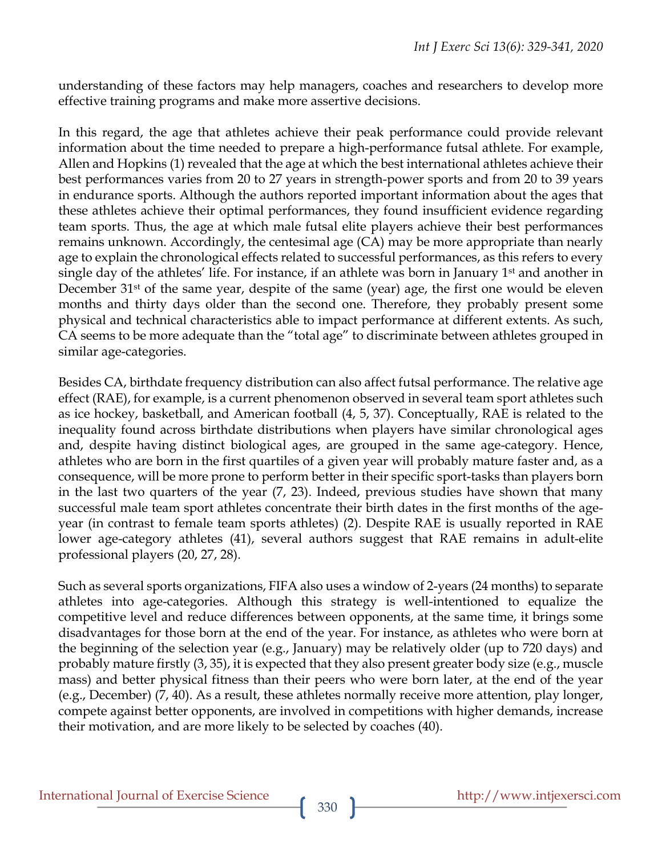understanding of these factors may help managers, coaches and researchers to develop more effective training programs and make more assertive decisions.

In this regard, the age that athletes achieve their peak performance could provide relevant information about the time needed to prepare a high-performance futsal athlete. For example, Allen and Hopkins (1) revealed that the age at which the best international athletes achieve their best performances varies from 20 to 27 years in strength-power sports and from 20 to 39 years in endurance sports. Although the authors reported important information about the ages that these athletes achieve their optimal performances, they found insufficient evidence regarding team sports. Thus, the age at which male futsal elite players achieve their best performances remains unknown. Accordingly, the centesimal age (CA) may be more appropriate than nearly age to explain the chronological effects related to successful performances, as this refers to every single day of the athletes' life. For instance, if an athlete was born in January 1st and another in December 31<sup>st</sup> of the same year, despite of the same (year) age, the first one would be eleven months and thirty days older than the second one. Therefore, they probably present some physical and technical characteristics able to impact performance at different extents. As such, CA seems to be more adequate than the "total age" to discriminate between athletes grouped in similar age-categories.

Besides CA, birthdate frequency distribution can also affect futsal performance. The relative age effect (RAE), for example, is a current phenomenon observed in several team sport athletes such as ice hockey, basketball, and American football (4, 5, 37). Conceptually, RAE is related to the inequality found across birthdate distributions when players have similar chronological ages and, despite having distinct biological ages, are grouped in the same age-category. Hence, athletes who are born in the first quartiles of a given year will probably mature faster and, as a consequence, will be more prone to perform better in their specific sport-tasks than players born in the last two quarters of the year (7, 23). Indeed, previous studies have shown that many successful male team sport athletes concentrate their birth dates in the first months of the ageyear (in contrast to female team sports athletes) (2). Despite RAE is usually reported in RAE lower age-category athletes (41), several authors suggest that RAE remains in adult-elite professional players (20, 27, 28).

Such as several sports organizations, FIFA also uses a window of 2-years (24 months) to separate athletes into age-categories. Although this strategy is well-intentioned to equalize the competitive level and reduce differences between opponents, at the same time, it brings some disadvantages for those born at the end of the year. For instance, as athletes who were born at the beginning of the selection year (e.g., January) may be relatively older (up to 720 days) and probably mature firstly (3, 35), it is expected that they also present greater body size (e.g., muscle mass) and better physical fitness than their peers who were born later, at the end of the year (e.g., December) (7, 40). As a result, these athletes normally receive more attention, play longer, compete against better opponents, are involved in competitions with higher demands, increase their motivation, and are more likely to be selected by coaches (40).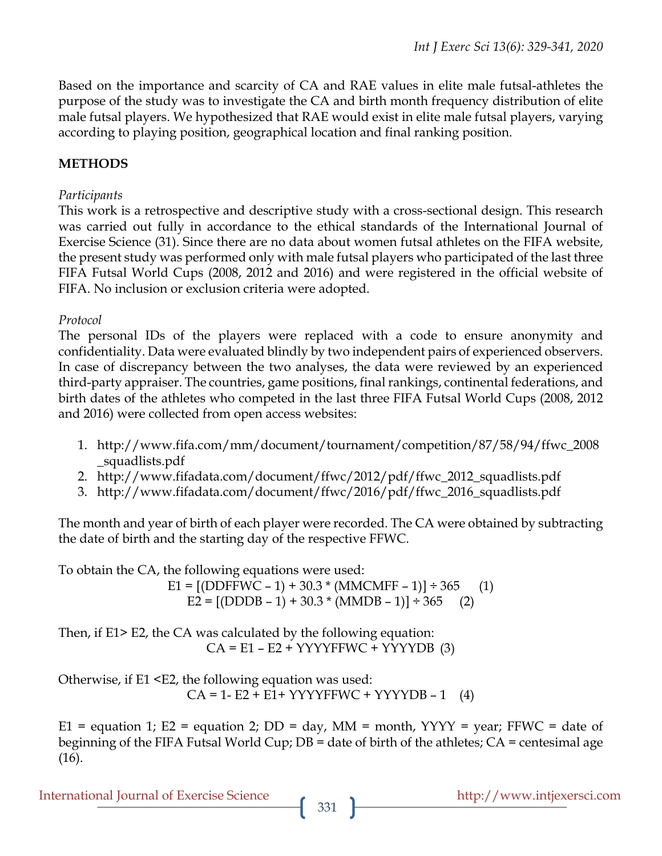Based on the importance and scarcity of CA and RAE values in elite male futsal-athletes the purpose of the study was to investigate the CA and birth month frequency distribution of elite male futsal players. We hypothesized that RAE would exist in elite male futsal players, varying according to playing position, geographical location and final ranking position.

### **METHODS**

#### *Participants*

This work is a retrospective and descriptive study with a cross-sectional design. This research was carried out fully in accordance to the ethical standards of the International Journal of Exercise Science (31). Since there are no data about women futsal athletes on the FIFA website, the present study was performed only with male futsal players who participated of the last three FIFA Futsal World Cups (2008, 2012 and 2016) and were registered in the official website of FIFA. No inclusion or exclusion criteria were adopted.

#### *Protocol*

The personal IDs of the players were replaced with a code to ensure anonymity and confidentiality. Data were evaluated blindly by two independent pairs of experienced observers. In case of discrepancy between the two analyses, the data were reviewed by an experienced third-party appraiser. The countries, game positions, final rankings, continental federations, and birth dates of the athletes who competed in the last three FIFA Futsal World Cups (2008, 2012 and 2016) were collected from open access websites:

- 1. http://www.fifa.com/mm/document/tournament/competition/87/58/94/ffwc\_2008 \_squadlists.pdf
- 2. http://www.fifadata.com/document/ffwc/2012/pdf/ffwc\_2012\_squadlists.pdf
- 3. http://www.fifadata.com/document/ffwc/2016/pdf/ffwc\_2016\_squadlists.pdf

The month and year of birth of each player were recorded. The CA were obtained by subtracting the date of birth and the starting day of the respective FFWC.

To obtain the CA, the following equations were used: E1 =  $[ (DDFFWC - 1) + 30.3 * (MMCMFF - 1) ] \div 365$  (1) E2 =  $[ (DDDB - 1) + 30.3 * (MMDB - 1) ] \div 365$  (2) Then, if E1> E2, the CA was calculated by the following equation:  $CA = E1 - E2 + YYYYFFWC + YYYYDB (3)$ 

Otherwise, if E1 <E2, the following equation was used:  $CA = 1 - E2 + E1 + YYYYFFWC + YYYYDB - 1$  (4)

E1 = equation 1; E2 = equation 2; DD = day, MM = month,  $YYYY = year$ ; FFWC = date of beginning of the FIFA Futsal World Cup; DB = date of birth of the athletes; CA = centesimal age (16).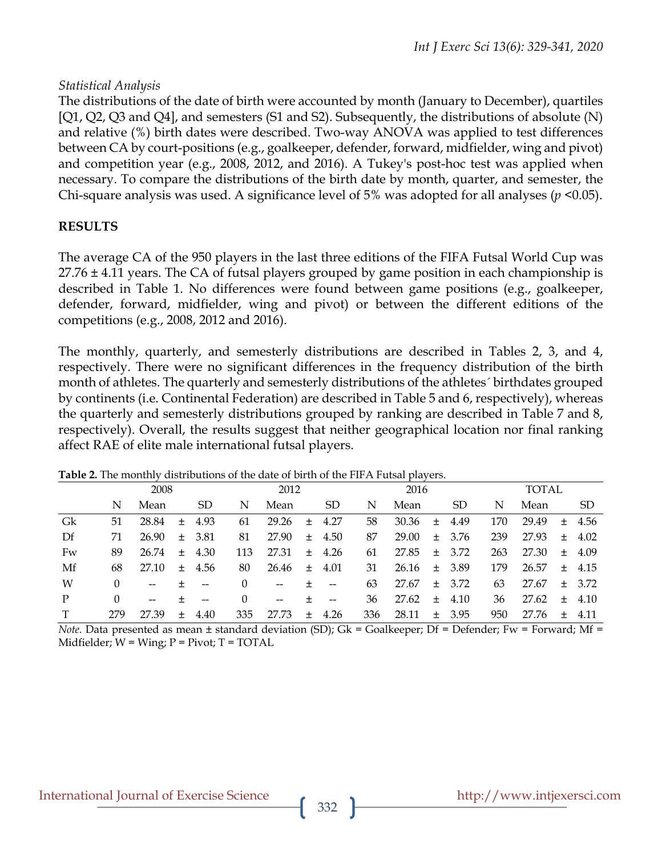#### *Statistical Analysis*

The distributions of the date of birth were accounted by month (January to December), quartiles [Q1, Q2, Q3 and Q4], and semesters (S1 and S2). Subsequently, the distributions of absolute (N) and relative (%) birth dates were described. Two-way ANOVA was applied to test differences between CA by court-positions (e.g., goalkeeper, defender, forward, midfielder, wing and pivot) and competition year (e.g., 2008, 2012, and 2016). A Tukey's post-hoc test was applied when necessary. To compare the distributions of the birth date by month, quarter, and semester, the Chi-square analysis was used. A significance level of 5% was adopted for all analyses (*p* <0.05).

### **RESULTS**

The average CA of the 950 players in the last three editions of the FIFA Futsal World Cup was  $27.76 \pm 4.11$  years. The CA of futsal players grouped by game position in each championship is described in Table 1. No differences were found between game positions (e.g., goalkeeper, defender, forward, midfielder, wing and pivot) or between the different editions of the competitions (e.g., 2008, 2012 and 2016).

The monthly, quarterly, and semesterly distributions are described in Tables 2, 3, and 4, respectively. There were no significant differences in the frequency distribution of the birth month of athletes. The quarterly and semesterly distributions of the athletes´ birthdates grouped by continents (i.e. Continental Federation) are described in Table 5 and 6, respectively), whereas the quarterly and semesterly distributions grouped by ranking are described in Table 7 and 8, respectively). Overall, the results suggest that neither geographical location nor final ranking affect RAE of elite male international futsal players.

|    | 2008     |       |        |           | 2012     |                          |        |                   | 2016 |       |       |            | TOTAL |       |     |            |
|----|----------|-------|--------|-----------|----------|--------------------------|--------|-------------------|------|-------|-------|------------|-------|-------|-----|------------|
|    | N        | Mean  |        | <b>SD</b> | N        | Mean                     |        | <b>SD</b>         | N    | Mean  |       | <b>SD</b>  | N     | Mean  |     | SD         |
| Gk | 51       | 28.84 | $\pm$  | 4.93      | 61       | 29.26                    | $\pm$  | 4.27              | 58   | 30.36 | $\pm$ | 4.49       | 170   | 29.49 | $+$ | 4.56       |
| Df | 71       | 26.90 | $+$    | 3.81      | 81       | 27.90                    | $+$    | 4.50              | 87   | 29.00 |       | $\pm$ 3.76 | 239   | 27.93 | $+$ | 4.02       |
| Fw | 89       | 26.74 | $+$    | 4.30      | 113      | 27.31                    | $+$    | 4.26              | 61   | 27.85 | $\pm$ | 3.72       | 263   | 27.30 | $+$ | 4.09       |
| Mf | 68       | 27.10 | $\pm$  | 4.56      | 80       | 26.46                    | 土      | 4.01              | 31   | 26.16 | $\pm$ | 3.89       | 179   | 26.57 | $+$ | 4.15       |
| W  | $\Omega$ | $-$   | ÷      | $-$       | $\Omega$ | $\overline{\phantom{m}}$ | +      | $\qquad \qquad -$ | 63   | 27.67 |       | $\pm$ 3.72 | 63    | 27.67 |     | $\pm$ 3.72 |
| P  | $\Omega$ | $-$   | ÷      | $-$       | $\Omega$ | $\overline{\phantom{a}}$ | +      | $\qquad \qquad -$ | 36   | 27.62 |       | $\pm$ 4.10 | 36    | 27.62 | $+$ | 4.10       |
|    | 279      | 27.39 | $^{+}$ | 4.40      | 335      | 27.73                    | $^{+}$ | 4.26              | 336  | 28.11 | $+$   | 3.95       | 950   | 27.76 | $+$ | 4.11       |

**Table 2.** The monthly distributions of the date of birth of the FIFA Futsal players.

*Note.* Data presented as mean ± standard deviation (SD); Gk = Goalkeeper; Df = Defender; Fw = Forward; Mf = Midfielder;  $W = Wing$ ;  $P = Pivot$ ;  $T = TOTAL$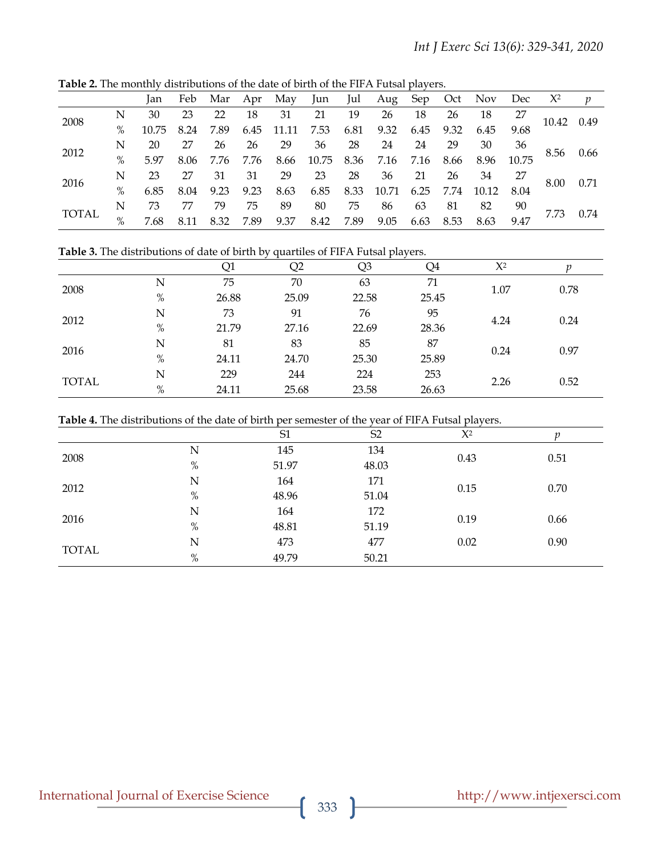|              | <br>$\alpha$ <sup>1</sup><br><u>the dute of phate of the FIFTE diodi phayers</u> |       |      |      |      |       |       |      |       |      |      |       |       |            |                  |
|--------------|----------------------------------------------------------------------------------|-------|------|------|------|-------|-------|------|-------|------|------|-------|-------|------------|------------------|
|              |                                                                                  | lan   | Feb  | Mar  | Apr  | May   | Jun   | Jul  | Aug   | Sep  | Oct  | Nov   | Dec   | $X^2$      | $\boldsymbol{v}$ |
| 2008         | Ν                                                                                | 30    | 23   | 22   | 18   | 31    | 21    | 19   | 26    | 18   | 26   | 18    | 27    | 10.42 0.49 |                  |
|              | $\%$                                                                             | 10.75 | 8.24 | 7.89 | 6.45 | 11.11 | 7.53  | 6.81 | 9.32  | 6.45 | 9.32 | 6.45  | 9.68  |            |                  |
| 2012         | N                                                                                | 20    | 27   | 26   | 26   | 29    | 36    | 28   | 24    | 24   | 29   | 30    | 36    |            |                  |
|              | $\%$                                                                             | 5.97  | 8.06 | 7.76 | 7.76 | 8.66  | 10.75 | 8.36 | 7.16  | 7.16 | 8.66 | 8.96  | 10.75 | 8.56       | 0.66             |
| 2016         | N                                                                                | 23    | 27   | 31   | 31   | 29    | 23    | 28   | 36    | 21   | 26   | 34    | 27    |            | 0.71             |
|              | $\%$                                                                             | 6.85  | 8.04 | 9.23 | 9.23 | 8.63  | 6.85  | 8.33 | 10.71 | 6.25 | 7.74 | 10.12 | 8.04  | 8.00       |                  |
| <b>TOTAL</b> | N                                                                                | 73    | 77   | 79   | 75   | 89    | 80    | 75   | 86    | 63   | 81   | 82    | 90    |            |                  |
|              | $\%$                                                                             | 7.68  | 8.11 | 8.32 | 7.89 | 9.37  | 8.42  | 7.89 | 9.05  | 6.63 | 8.53 | 8.63  | 9.47  | 7.73       | 0.74             |

**Table 2.** The monthly distributions of the date of birth of the FIFA Futsal players.

**Table 3.** The distributions of date of birth by quartiles of FIFA Futsal players.

|              |      | Q1    | Q2    | Q3    | Q4    | $X^2$ |      |  |
|--------------|------|-------|-------|-------|-------|-------|------|--|
|              | Ν    | 75    | 70    | 63    | 71    | 1.07  | 0.78 |  |
| 2008         | $\%$ | 26.88 | 25.09 | 22.58 | 25.45 |       |      |  |
| 2012         | Ν    | 73    | 91    | 76    | 95    | 4.24  | 0.24 |  |
|              | $\%$ | 21.79 | 27.16 | 22.69 | 28.36 |       |      |  |
| 2016         | Ν    | 81    | 83    | 85    | 87    | 0.24  |      |  |
|              | $\%$ | 24.11 | 24.70 | 25.30 | 25.89 |       | 0.97 |  |
|              | N    | 229   | 244   | 224   | 253   |       | 0.52 |  |
| <b>TOTAL</b> | $\%$ | 24.11 | 25.68 | 23.58 | 26.63 | 2.26  |      |  |

|  | Table 4. The distributions of the date of birth per semester of the year of FIFA Futsal players. |
|--|--------------------------------------------------------------------------------------------------|
|--|--------------------------------------------------------------------------------------------------|

|              |      | S <sub>1</sub> | S <sub>2</sub> | $X^2$ |      |  |
|--------------|------|----------------|----------------|-------|------|--|
| 2008         | N    | 145            | 134            | 0.43  | 0.51 |  |
|              | $\%$ | 51.97          | 48.03          |       |      |  |
|              | N    | 164            | 171            |       | 0.70 |  |
| 2012         | $\%$ | 48.96          | 51.04          | 0.15  |      |  |
|              | N    | 164            | 172            |       |      |  |
| 2016         | $\%$ | 48.81          | 51.19          | 0.19  | 0.66 |  |
| <b>TOTAL</b> | N    | 473            | 477            | 0.02  | 0.90 |  |
|              | $\%$ | 49.79          | 50.21          |       |      |  |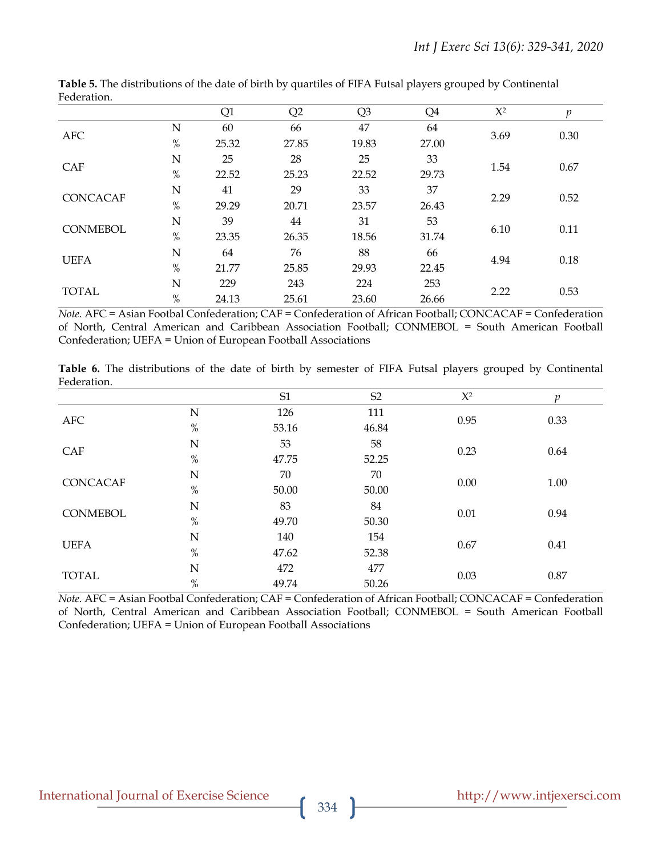| -----------     |      |       |       |                |       |       |      |  |
|-----------------|------|-------|-------|----------------|-------|-------|------|--|
|                 |      | Q1    | Q2    | Q <sub>3</sub> | Q4    | $X^2$ | n    |  |
|                 | N    | 60    | 66    | 47             | 64    |       | 0.30 |  |
| <b>AFC</b>      | $\%$ | 25.32 | 27.85 | 19.83          | 27.00 | 3.69  |      |  |
|                 | N    | 25    | 28    | 25             | 33    |       |      |  |
| <b>CAF</b>      | $\%$ | 22.52 | 25.23 | 22.52          | 29.73 | 1.54  | 0.67 |  |
|                 | N    | 41    | 29    | 33             | 37    |       |      |  |
| <b>CONCACAF</b> | $\%$ | 29.29 | 20.71 | 23.57          | 26.43 | 2.29  | 0.52 |  |
|                 | N    | 39    | 44    | 31             | 53    |       |      |  |
| <b>CONMEBOL</b> | $\%$ | 23.35 | 26.35 | 18.56          | 31.74 | 6.10  | 0.11 |  |
|                 | N    | 64    | 76    | 88             | 66    |       |      |  |
| <b>UEFA</b>     | $\%$ | 21.77 | 25.85 | 29.93          | 22.45 | 4.94  | 0.18 |  |
|                 | N    | 229   | 243   | 224            | 253   |       |      |  |
| <b>TOTAL</b>    | $\%$ | 24.13 | 25.61 | 23.60          | 26.66 | 2.22  | 0.53 |  |

**Table 5.** The distributions of the date of birth by quartiles of FIFA Futsal players grouped by Continental Federation.

*Note.* AFC = Asian Footbal Confederation; CAF = Confederation of African Football; CONCACAF = Confederation of North, Central American and Caribbean Association Football; CONMEBOL = South American Football Confederation; UEFA = Union of European Football Associations

**Table 6.** The distributions of the date of birth by semester of FIFA Futsal players grouped by Continental Federation.

|                 |      | S1    | S <sub>2</sub> | $X^2$ | p    |  |
|-----------------|------|-------|----------------|-------|------|--|
| <b>AFC</b>      | N    | 126   | 111            | 0.95  | 0.33 |  |
|                 | $\%$ | 53.16 | 46.84          |       |      |  |
| CAF             | N    | 53    | 58             | 0.23  | 0.64 |  |
|                 | $\%$ | 47.75 | 52.25          |       |      |  |
| <b>CONCACAF</b> | N    | 70    | 70             | 0.00  | 1.00 |  |
|                 | $\%$ | 50.00 | 50.00          |       |      |  |
| <b>CONMEBOL</b> | N    | 83    | 84             | 0.01  | 0.94 |  |
|                 | $\%$ | 49.70 | 50.30          |       |      |  |
| <b>UEFA</b>     | N    | 140   | 154            |       |      |  |
|                 | $\%$ | 47.62 | 52.38          | 0.67  | 0.41 |  |
|                 | N    | 472   | 477            | 0.03  | 0.87 |  |
| <b>TOTAL</b>    | $\%$ | 49.74 | 50.26          |       |      |  |

*Note.* AFC = Asian Footbal Confederation; CAF = Confederation of African Football; CONCACAF = Confederation of North, Central American and Caribbean Association Football; CONMEBOL = South American Football Confederation; UEFA = Union of European Football Associations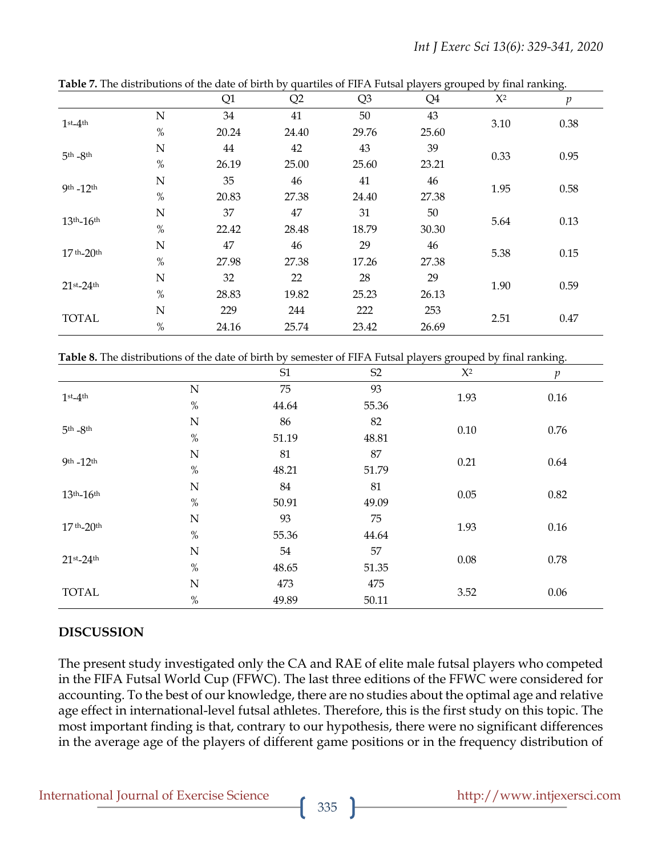|                  |      | Q1    | Q2    | Q <sub>3</sub> | Q4    | $X^2$ | $\boldsymbol{p}$ |  |
|------------------|------|-------|-------|----------------|-------|-------|------------------|--|
| $1st-4th$        | N    | 34    | 41    | 50             | 43    |       |                  |  |
|                  | $\%$ | 20.24 | 24.40 | 29.76          | 25.60 | 3.10  | 0.38             |  |
| $5th - 8th$      | N    | 44    | 42    | 43             | 39    | 0.33  | 0.95             |  |
|                  | $\%$ | 26.19 | 25.00 | 25.60          | 23.21 |       |                  |  |
| 9th -12th        | N    | 35    | 46    | 41             | 46    | 1.95  | 0.58             |  |
|                  | $\%$ | 20.83 | 27.38 | 24.40          | 27.38 |       |                  |  |
| $13th - 16th$    | N    | 37    | 47    | 31             | 50    | 5.64  | 0.13             |  |
|                  | $\%$ | 22.42 | 28.48 | 18.79          | 30.30 |       |                  |  |
| $17th - 20th$    | N    | 47    | 46    | 29             | 46    | 5.38  | 0.15             |  |
|                  | $\%$ | 27.98 | 27.38 | 17.26          | 27.38 |       |                  |  |
|                  | N    | 32    | 22    | 28             | 29    | 1.90  | 0.59             |  |
| $21$ st- $24$ th | $\%$ | 28.83 | 19.82 | 25.23          | 26.13 |       |                  |  |
| <b>TOTAL</b>     | N    | 229   | 244   | 222            | 253   | 2.51  | 0.47             |  |
|                  | $\%$ | 24.16 | 25.74 | 23.42          | 26.69 |       |                  |  |

**Table 7.** The distributions of the date of birth by quartiles of FIFA Futsal players grouped by final ranking.

**Table 8.** The distributions of the date of birth by semester of FIFA Futsal players grouped by final ranking.

|                  |             | S1    | S <sub>2</sub> | $\mathsf{X}^2$ | $\mathfrak{p}$ |  |
|------------------|-------------|-------|----------------|----------------|----------------|--|
| $1$ st_ $4$ th   | $\mathbf N$ | 75    | 93             | 1.93           | $0.16\,$       |  |
|                  | $\%$        | 44.64 | 55.36          |                |                |  |
| $5th - 8th$      | $\mathbf N$ | 86    | 82             | 0.10           |                |  |
|                  | $\%$        | 51.19 | 48.81          |                | 0.76           |  |
| 9th $-12$ th     | $\mathbf N$ | 81    | 87             | 0.21           | 0.64           |  |
|                  | $\%$        | 48.21 | 51.79          |                |                |  |
|                  | $\mathbf N$ | 84    | 81             | 0.05           | 0.82           |  |
| $13th-16th$      | $\%$        | 50.91 | 49.09          |                |                |  |
| $17th - 20th$    | $\mathbf N$ | 93    | 75             | 1.93           |                |  |
|                  | $\%$        | 55.36 | 44.64          |                | 0.16           |  |
|                  | $\mathbf N$ | 54    | 57             | 0.08           |                |  |
| $21$ st- $24$ th | $\%$        | 48.65 | 51.35          |                | 0.78           |  |
|                  | $\mathbf N$ | 473   | 475            |                |                |  |
| <b>TOTAL</b>     | $\%$        | 49.89 | 50.11          | 3.52           | 0.06           |  |

# **DISCUSSION**

The present study investigated only the CA and RAE of elite male futsal players who competed in the FIFA Futsal World Cup (FFWC). The last three editions of the FFWC were considered for accounting. To the best of our knowledge, there are no studies about the optimal age and relative age effect in international-level futsal athletes. Therefore, this is the first study on this topic. The most important finding is that, contrary to our hypothesis, there were no significant differences in the average age of the players of different game positions or in the frequency distribution of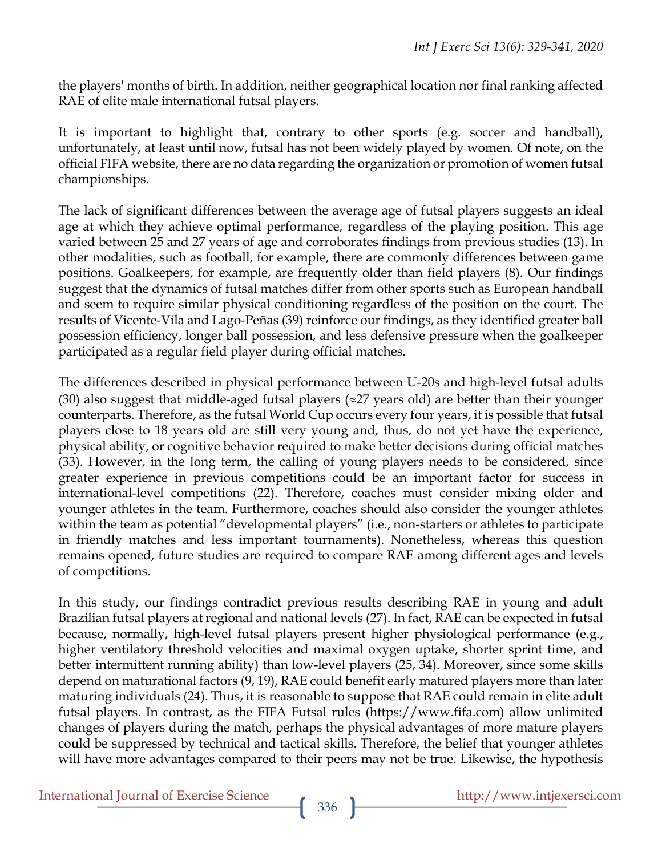the players' months of birth. In addition, neither geographical location nor final ranking affected RAE of elite male international futsal players.

It is important to highlight that, contrary to other sports (e.g. soccer and handball), unfortunately, at least until now, futsal has not been widely played by women. Of note, on the official FIFA website, there are no data regarding the organization or promotion of women futsal championships.

The lack of significant differences between the average age of futsal players suggests an ideal age at which they achieve optimal performance, regardless of the playing position. This age varied between 25 and 27 years of age and corroborates findings from previous studies (13). In other modalities, such as football, for example, there are commonly differences between game positions. Goalkeepers, for example, are frequently older than field players (8). Our findings suggest that the dynamics of futsal matches differ from other sports such as European handball and seem to require similar physical conditioning regardless of the position on the court. The results of Vicente-Vila and Lago-Peñas (39) reinforce our findings, as they identified greater ball possession efficiency, longer ball possession, and less defensive pressure when the goalkeeper participated as a regular field player during official matches.

The differences described in physical performance between U-20s and high-level futsal adults (30) also suggest that middle-aged futsal players ( $\approx$ 27 years old) are better than their younger counterparts. Therefore, as the futsal World Cup occurs every four years, it is possible that futsal players close to 18 years old are still very young and, thus, do not yet have the experience, physical ability, or cognitive behavior required to make better decisions during official matches (33). However, in the long term, the calling of young players needs to be considered, since greater experience in previous competitions could be an important factor for success in international-level competitions (22). Therefore, coaches must consider mixing older and younger athletes in the team. Furthermore, coaches should also consider the younger athletes within the team as potential "developmental players" (i.e., non-starters or athletes to participate in friendly matches and less important tournaments). Nonetheless, whereas this question remains opened, future studies are required to compare RAE among different ages and levels of competitions.

In this study, our findings contradict previous results describing RAE in young and adult Brazilian futsal players at regional and national levels (27). In fact, RAE can be expected in futsal because, normally, high-level futsal players present higher physiological performance (e.g*.*, higher ventilatory threshold velocities and maximal oxygen uptake, shorter sprint time, and better intermittent running ability) than low-level players (25, 34). Moreover, since some skills depend on maturational factors (9, 19), RAE could benefit early matured players more than later maturing individuals (24). Thus, it is reasonable to suppose that RAE could remain in elite adult futsal players. In contrast, as the FIFA Futsal rules (https://www.fifa.com) allow unlimited changes of players during the match, perhaps the physical advantages of more mature players could be suppressed by technical and tactical skills. Therefore, the belief that younger athletes will have more advantages compared to their peers may not be true. Likewise, the hypothesis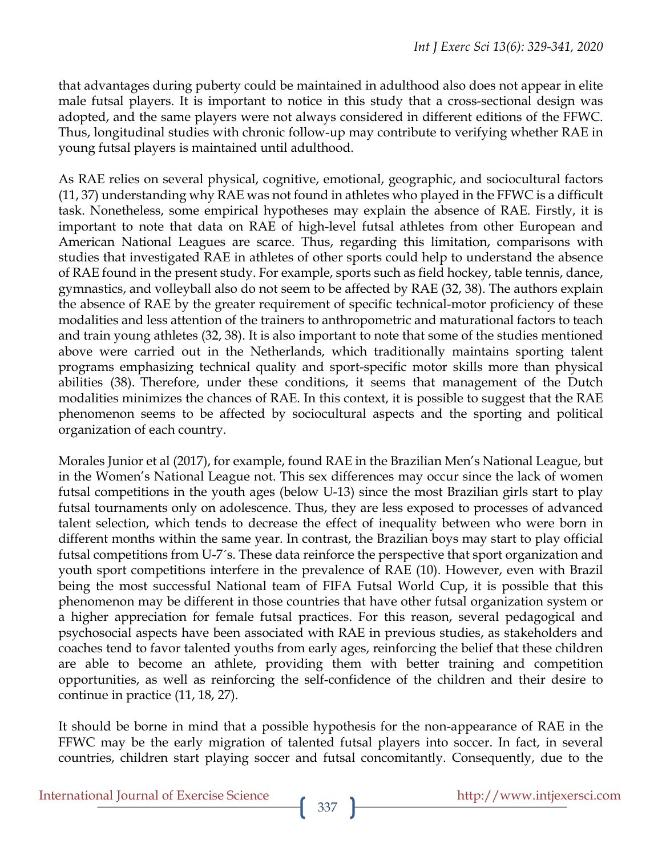that advantages during puberty could be maintained in adulthood also does not appear in elite male futsal players. It is important to notice in this study that a cross-sectional design was adopted, and the same players were not always considered in different editions of the FFWC. Thus, longitudinal studies with chronic follow-up may contribute to verifying whether RAE in young futsal players is maintained until adulthood.

As RAE relies on several physical, cognitive, emotional, geographic, and sociocultural factors (11, 37) understanding why RAE was not found in athletes who played in the FFWC is a difficult task. Nonetheless, some empirical hypotheses may explain the absence of RAE. Firstly, it is important to note that data on RAE of high-level futsal athletes from other European and American National Leagues are scarce. Thus, regarding this limitation, comparisons with studies that investigated RAE in athletes of other sports could help to understand the absence of RAE found in the present study. For example, sports such as field hockey, table tennis, dance, gymnastics, and volleyball also do not seem to be affected by RAE (32, 38). The authors explain the absence of RAE by the greater requirement of specific technical-motor proficiency of these modalities and less attention of the trainers to anthropometric and maturational factors to teach and train young athletes (32, 38). It is also important to note that some of the studies mentioned above were carried out in the Netherlands, which traditionally maintains sporting talent programs emphasizing technical quality and sport-specific motor skills more than physical abilities (38). Therefore, under these conditions, it seems that management of the Dutch modalities minimizes the chances of RAE. In this context, it is possible to suggest that the RAE phenomenon seems to be affected by sociocultural aspects and the sporting and political organization of each country.

Morales Junior et al (2017), for example, found RAE in the Brazilian Men's National League, but in the Women's National League not. This sex differences may occur since the lack of women futsal competitions in the youth ages (below U-13) since the most Brazilian girls start to play futsal tournaments only on adolescence. Thus, they are less exposed to processes of advanced talent selection, which tends to decrease the effect of inequality between who were born in different months within the same year. In contrast, the Brazilian boys may start to play official futsal competitions from U-7´s. These data reinforce the perspective that sport organization and youth sport competitions interfere in the prevalence of RAE (10). However, even with Brazil being the most successful National team of FIFA Futsal World Cup, it is possible that this phenomenon may be different in those countries that have other futsal organization system or a higher appreciation for female futsal practices. For this reason, several pedagogical and psychosocial aspects have been associated with RAE in previous studies, as stakeholders and coaches tend to favor talented youths from early ages, reinforcing the belief that these children are able to become an athlete, providing them with better training and competition opportunities, as well as reinforcing the self-confidence of the children and their desire to continue in practice (11, 18, 27).

It should be borne in mind that a possible hypothesis for the non-appearance of RAE in the FFWC may be the early migration of talented futsal players into soccer. In fact, in several countries, children start playing soccer and futsal concomitantly. Consequently, due to the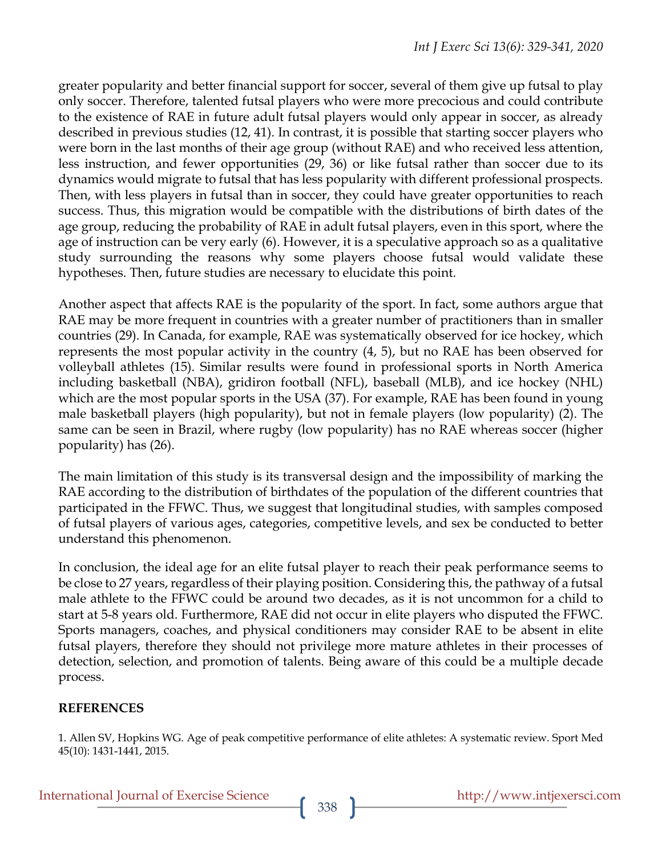greater popularity and better financial support for soccer, several of them give up futsal to play only soccer. Therefore, talented futsal players who were more precocious and could contribute to the existence of RAE in future adult futsal players would only appear in soccer, as already described in previous studies (12, 41). In contrast, it is possible that starting soccer players who were born in the last months of their age group (without RAE) and who received less attention, less instruction, and fewer opportunities (29, 36) or like futsal rather than soccer due to its dynamics would migrate to futsal that has less popularity with different professional prospects. Then, with less players in futsal than in soccer, they could have greater opportunities to reach success. Thus, this migration would be compatible with the distributions of birth dates of the age group, reducing the probability of RAE in adult futsal players, even in this sport, where the age of instruction can be very early (6). However, it is a speculative approach so as a qualitative study surrounding the reasons why some players choose futsal would validate these hypotheses. Then, future studies are necessary to elucidate this point.

Another aspect that affects RAE is the popularity of the sport. In fact, some authors argue that RAE may be more frequent in countries with a greater number of practitioners than in smaller countries (29). In Canada, for example, RAE was systematically observed for ice hockey, which represents the most popular activity in the country (4, 5), but no RAE has been observed for volleyball athletes (15). Similar results were found in professional sports in North America including basketball (NBA), gridiron football (NFL), baseball (MLB), and ice hockey (NHL) which are the most popular sports in the USA (37). For example, RAE has been found in young male basketball players (high popularity), but not in female players (low popularity) (2). The same can be seen in Brazil, where rugby (low popularity) has no RAE whereas soccer (higher popularity) has (26).

The main limitation of this study is its transversal design and the impossibility of marking the RAE according to the distribution of birthdates of the population of the different countries that participated in the FFWC. Thus, we suggest that longitudinal studies, with samples composed of futsal players of various ages, categories, competitive levels, and sex be conducted to better understand this phenomenon.

In conclusion, the ideal age for an elite futsal player to reach their peak performance seems to be close to 27 years, regardless of their playing position. Considering this, the pathway of a futsal male athlete to the FFWC could be around two decades, as it is not uncommon for a child to start at 5-8 years old. Furthermore, RAE did not occur in elite players who disputed the FFWC. Sports managers, coaches, and physical conditioners may consider RAE to be absent in elite futsal players, therefore they should not privilege more mature athletes in their processes of detection, selection, and promotion of talents. Being aware of this could be a multiple decade process.

# **REFERENCES**

1. Allen SV, Hopkins WG. Age of peak competitive performance of elite athletes: A systematic review. Sport Med 45(10): 1431-1441, 2015.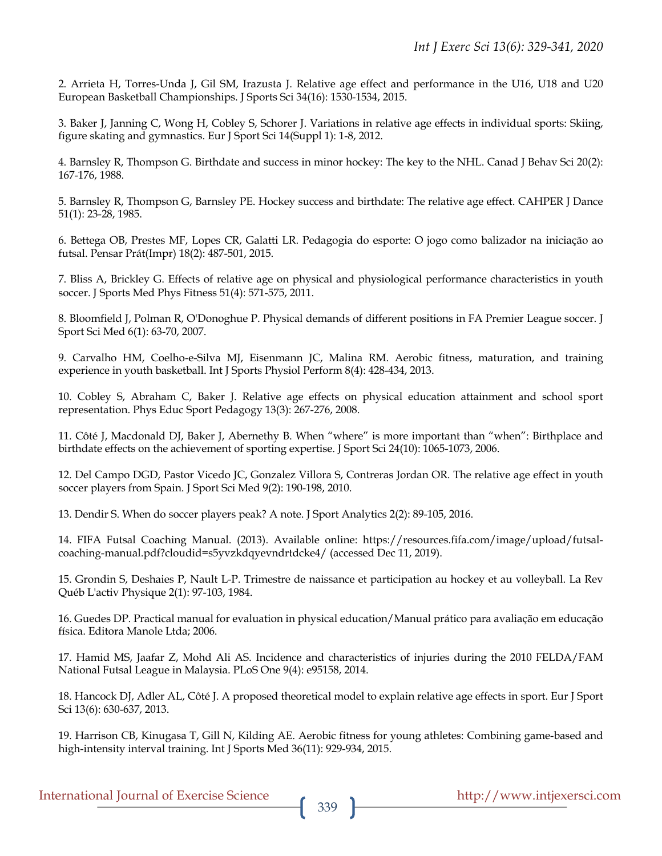2. Arrieta H, Torres-Unda J, Gil SM, Irazusta J. Relative age effect and performance in the U16, U18 and U20 European Basketball Championships. J Sports Sci 34(16): 1530-1534, 2015.

3. Baker J, Janning C, Wong H, Cobley S, Schorer J. Variations in relative age effects in individual sports: Skiing, figure skating and gymnastics. Eur J Sport Sci 14(Suppl 1): 1-8, 2012.

4. Barnsley R, Thompson G. Birthdate and success in minor hockey: The key to the NHL. Canad J Behav Sci 20(2): 167-176, 1988.

5. Barnsley R, Thompson G, Barnsley PE. Hockey success and birthdate: The relative age effect. CAHPER J Dance 51(1): 23-28, 1985.

6. Bettega OB, Prestes MF, Lopes CR, Galatti LR. Pedagogia do esporte: O jogo como balizador na iniciação ao futsal. Pensar Prát(Impr) 18(2): 487-501, 2015.

7. Bliss A, Brickley G. Effects of relative age on physical and physiological performance characteristics in youth soccer. J Sports Med Phys Fitness 51(4): 571-575, 2011.

8. Bloomfield J, Polman R, O'Donoghue P. Physical demands of different positions in FA Premier League soccer. J Sport Sci Med 6(1): 63-70, 2007.

9. Carvalho HM, Coelho-e-Silva MJ, Eisenmann JC, Malina RM. Aerobic fitness, maturation, and training experience in youth basketball. Int J Sports Physiol Perform 8(4): 428-434, 2013.

10. Cobley S, Abraham C, Baker J. Relative age effects on physical education attainment and school sport representation. Phys Educ Sport Pedagogy 13(3): 267-276, 2008.

11. Côté J, Macdonald DJ, Baker J, Abernethy B. When "where" is more important than "when": Birthplace and birthdate effects on the achievement of sporting expertise. J Sport Sci 24(10): 1065-1073, 2006.

12. Del Campo DGD, Pastor Vicedo JC, Gonzalez Villora S, Contreras Jordan OR. The relative age effect in youth soccer players from Spain. J Sport Sci Med 9(2): 190-198, 2010.

13. Dendir S. When do soccer players peak? A note. J Sport Analytics 2(2): 89-105, 2016.

14. FIFA Futsal Coaching Manual. (2013). Available online: https://resources.fifa.com/image/upload/futsalcoaching-manual.pdf?cloudid=s5yvzkdqyevndrtdcke4/ (accessed Dec 11, 2019).

15. Grondin S, Deshaies P, Nault L-P. Trimestre de naissance et participation au hockey et au volleyball. La Rev Québ L'activ Physique 2(1): 97-103, 1984.

16. Guedes DP. Practical manual for evaluation in physical education/Manual prático para avaliação em educação física. Editora Manole Ltda; 2006.

17. Hamid MS, Jaafar Z, Mohd Ali AS. Incidence and characteristics of injuries during the 2010 FELDA/FAM National Futsal League in Malaysia. PLoS One 9(4): e95158, 2014.

18. Hancock DJ, Adler AL, Côté J. A proposed theoretical model to explain relative age effects in sport. Eur J Sport Sci 13(6): 630-637, 2013.

19. Harrison CB, Kinugasa T, Gill N, Kilding AE. Aerobic fitness for young athletes: Combining game-based and high-intensity interval training. Int J Sports Med 36(11): 929-934, 2015.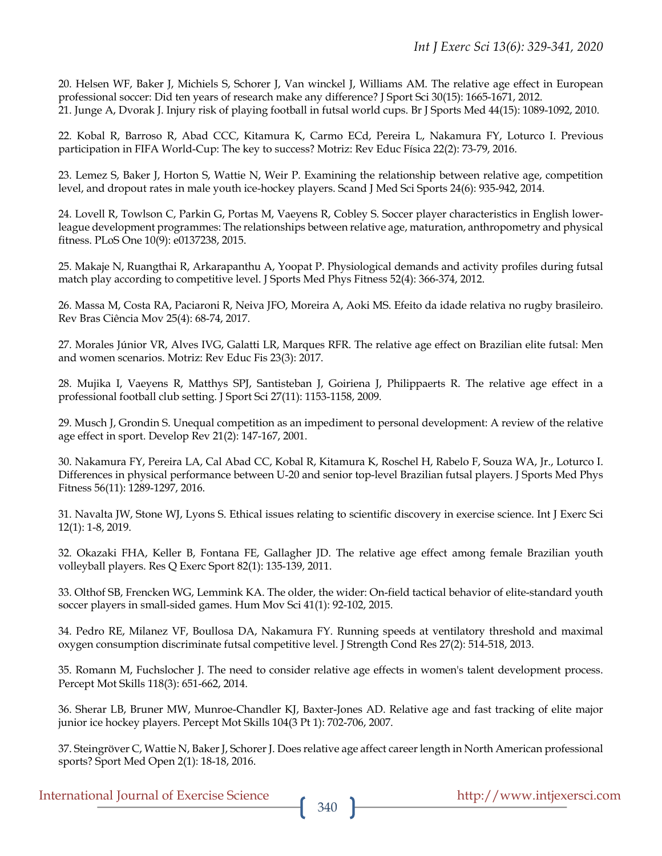20. Helsen WF, Baker J, Michiels S, Schorer J, Van winckel J, Williams AM. The relative age effect in European professional soccer: Did ten years of research make any difference? J Sport Sci 30(15): 1665-1671, 2012. 21. Junge A, Dvorak J. Injury risk of playing football in futsal world cups. Br J Sports Med 44(15): 1089-1092, 2010.

22. Kobal R, Barroso R, Abad CCC, Kitamura K, Carmo ECd, Pereira L, Nakamura FY, Loturco I. Previous participation in FIFA World-Cup: The key to success? Motriz: Rev Educ Física 22(2): 73-79, 2016.

23. Lemez S, Baker J, Horton S, Wattie N, Weir P. Examining the relationship between relative age, competition level, and dropout rates in male youth ice-hockey players. Scand J Med Sci Sports 24(6): 935-942, 2014.

24. Lovell R, Towlson C, Parkin G, Portas M, Vaeyens R, Cobley S. Soccer player characteristics in English lowerleague development programmes: The relationships between relative age, maturation, anthropometry and physical fitness. PLoS One 10(9): e0137238, 2015.

25. Makaje N, Ruangthai R, Arkarapanthu A, Yoopat P. Physiological demands and activity profiles during futsal match play according to competitive level. J Sports Med Phys Fitness 52(4): 366-374, 2012.

26. Massa M, Costa RA, Paciaroni R, Neiva JFO, Moreira A, Aoki MS. Efeito da idade relativa no rugby brasileiro. Rev Bras Ciência Mov 25(4): 68-74, 2017.

27. Morales Júnior VR, Alves IVG, Galatti LR, Marques RFR. The relative age effect on Brazilian elite futsal: Men and women scenarios. Motriz: Rev Educ Fis 23(3): 2017.

28. Mujika I, Vaeyens R, Matthys SPJ, Santisteban J, Goiriena J, Philippaerts R. The relative age effect in a professional football club setting. J Sport Sci 27(11): 1153-1158, 2009.

29. Musch J, Grondin S. Unequal competition as an impediment to personal development: A review of the relative age effect in sport. Develop Rev 21(2): 147-167, 2001.

30. Nakamura FY, Pereira LA, Cal Abad CC, Kobal R, Kitamura K, Roschel H, Rabelo F, Souza WA, Jr., Loturco I. Differences in physical performance between U-20 and senior top-level Brazilian futsal players. J Sports Med Phys Fitness 56(11): 1289-1297, 2016.

31. Navalta JW, Stone WJ, Lyons S. Ethical issues relating to scientific discovery in exercise science. Int J Exerc Sci 12(1): 1-8, 2019.

32. Okazaki FHA, Keller B, Fontana FE, Gallagher JD. The relative age effect among female Brazilian youth volleyball players. Res Q Exerc Sport 82(1): 135-139, 2011.

33. Olthof SB, Frencken WG, Lemmink KA. The older, the wider: On-field tactical behavior of elite-standard youth soccer players in small-sided games. Hum Mov Sci 41(1): 92-102, 2015.

34. Pedro RE, Milanez VF, Boullosa DA, Nakamura FY. Running speeds at ventilatory threshold and maximal oxygen consumption discriminate futsal competitive level. J Strength Cond Res 27(2): 514-518, 2013.

35. Romann M, Fuchslocher J. The need to consider relative age effects in women's talent development process. Percept Mot Skills 118(3): 651-662, 2014.

36. Sherar LB, Bruner MW, Munroe-Chandler KJ, Baxter-Jones AD. Relative age and fast tracking of elite major junior ice hockey players. Percept Mot Skills 104(3 Pt 1): 702-706, 2007.

37. Steingröver C, Wattie N, Baker J, Schorer J. Does relative age affect career length in North American professional sports? Sport Med Open 2(1): 18-18, 2016.